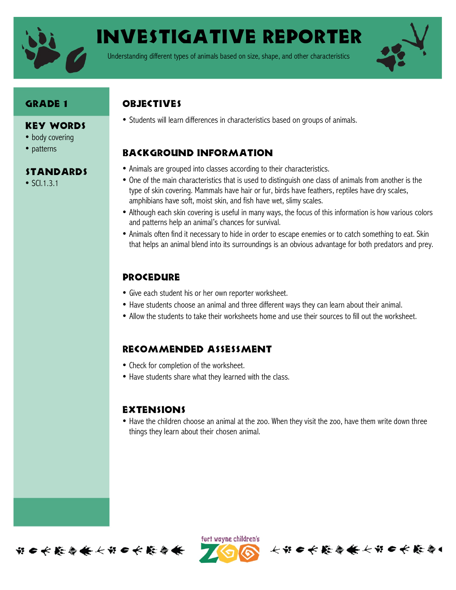

Investigative Reporter

Understanding different types of animals based on size, shape, and other characteristics



### **GRADE 1**

#### Key Words

- body covering
- patterns

#### Standards

• SCI.1.3.1

# **OBJECTIVES**

• Students will learn differences in characteristics based on groups of animals.

# Background information

- Animals are grouped into classes according to their characteristics.
- One of the main characteristics that is used to distinguish one class of animals from another is the type of skin covering. Mammals have hair or fur, birds have feathers, reptiles have dry scales, amphibians have soft, moist skin, and fish have wet, slimy scales.
- Although each skin covering is useful in many ways, the focus of this information is how various colors and patterns help an animal's chances for survival.
- Animals often find it necessary to hide in order to escape enemies or to catch something to eat. Skin that helps an animal blend into its surroundings is an obvious advantage for both predators and prey.

# **PROCEDURE**

- Give each student his or her own reporter worksheet.
- Have students choose an animal and three different ways they can learn about their animal.
- Allow the students to take their worksheets home and use their sources to fill out the worksheet.

### Recommended assessment

- Check for completion of the worksheet.
- Have students share what they learned with the class.

#### **EXTENSIONS**

• Have the children choose an animal at the zoo. When they visit the zoo, have them write down three things they learn about their chosen animal.





长节口长能会会长节口长能会